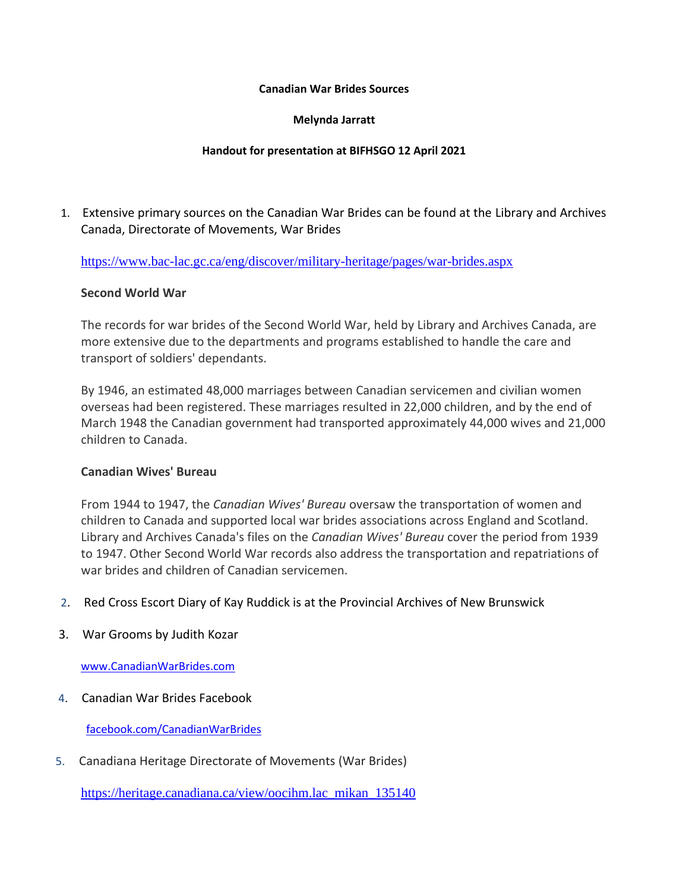#### **Canadian War Brides Sources**

### **Melynda Jarratt**

# **Handout for presentation at BIFHSGO 12 April 2021**

1. Extensive primary sources on the Canadian War Brides can be found at the Library and Archives Canada, Directorate of Movements, War Brides

<https://www.bac-lac.gc.ca/eng/discover/military-heritage/pages/war-brides.aspx>

# **Second World War**

The records for war brides of the Second World War, held by Library and Archives Canada, are more extensive due to the departments and programs established to handle the care and transport of soldiers' dependants.

By 1946, an estimated 48,000 marriages between Canadian servicemen and civilian women overseas had been registered. These marriages resulted in 22,000 children, and by the end of March 1948 the Canadian government had transported approximately 44,000 wives and 21,000 children to Canada.

### **Canadian Wives' Bureau**

From 1944 to 1947, the *Canadian Wives' Bureau* oversaw the transportation of women and children to Canada and supported local war brides associations across England and Scotland. Library and Archives Canada's files on the *Canadian Wives' Bureau* cover the period from 1939 to 1947. Other Second World War records also address the transportation and repatriations of war brides and children of Canadian servicemen.

- 2. Red Cross Escort Diary of Kay Ruddick is at the Provincial Archives of New Brunswick
- 3. War Grooms by Judith Kozar

[www.CanadianWarBrides.com](http://www.canadianwarbrides.com/)

4. Canadian War Brides Facebook

### [facebook.com/CanadianWarBrides](http://facebook.com/CanadianWarBrides)

5. Canadiana Heritage Directorate of Movements (War Brides)

[https://heritage.canadiana.ca/view/oocihm.lac\\_mikan\\_135140](https://heritage.canadiana.ca/view/oocihm.lac_mikan_135140)